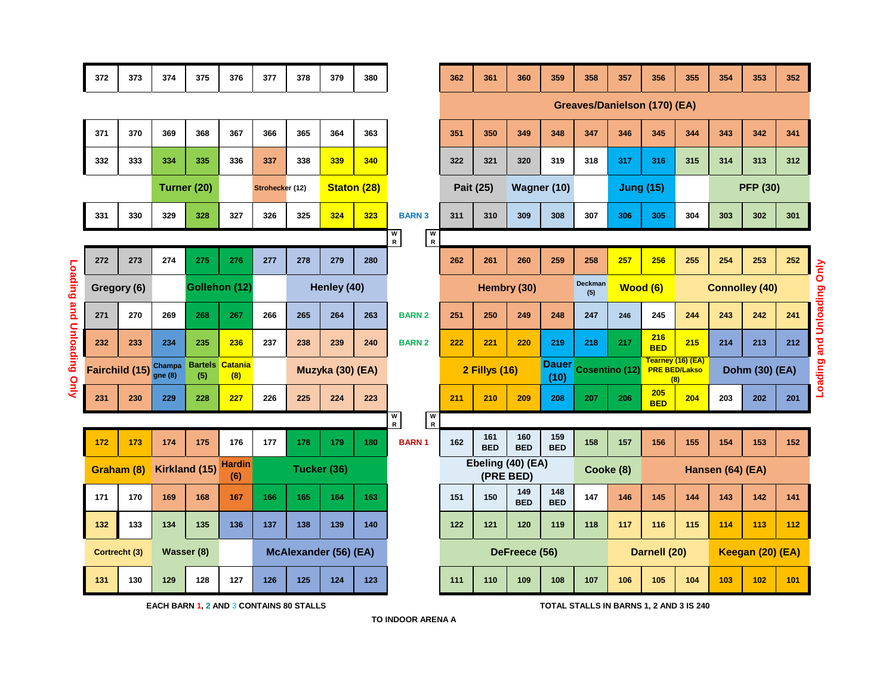|                | 372                                     | 373                  | 374                             | 375           | 376                   | 377             | 378                   | 379              | 380                               |                                    | 362                                 | 361               | 360                                     | 359                  | 358              | 357          | 356                                              | 355              | 354              | 353 | 352 |                              |  |  |
|----------------|-----------------------------------------|----------------------|---------------------------------|---------------|-----------------------|-----------------|-----------------------|------------------|-----------------------------------|------------------------------------|-------------------------------------|-------------------|-----------------------------------------|----------------------|------------------|--------------|--------------------------------------------------|------------------|------------------|-----|-----|------------------------------|--|--|
|                |                                         |                      |                                 |               |                       |                 |                       |                  |                                   |                                    | <b>Greaves/Danielson (170) (EA)</b> |                   |                                         |                      |                  |              |                                                  |                  |                  |     |     |                              |  |  |
|                | 371                                     | 370                  | 369                             | 368           | 367                   | 366             | 365                   | 364              | 363                               |                                    | 351                                 | 350               | 349                                     | 348                  | 347              | 346          | 345                                              | 344              | 343              | 342 | 341 |                              |  |  |
|                | 332                                     | 333                  | 334                             | 335           | 336                   | 337             | 338                   | 339              | 340                               |                                    | 322                                 | 321               | 320                                     | 319                  | 318              | 317          | 316                                              | 315              | 314              | 313 | 312 |                              |  |  |
|                |                                         |                      | Turner (20)                     |               |                       | Strohecker (12) |                       |                  | <b>Staton (28)</b>                |                                    | Pait (25)                           |                   | Wagner (10)                             |                      | <b>Jung (15)</b> |              |                                                  |                  | <b>PFP (30)</b>  |     |     |                              |  |  |
|                | 331                                     | 330                  | 329                             | 328           | 327                   | 326             | 325                   | 324              | 323                               | <b>BARN 3</b>                      | 311                                 | 310               | 309                                     | 308                  | 307              | 306          | 305                                              | 304              | 303              | 302 | 301 |                              |  |  |
|                |                                         |                      |                                 |               |                       |                 |                       |                  |                                   | $\frac{1}{R}$<br>w<br>$\mathsf{R}$ |                                     |                   |                                         |                      |                  |              |                                                  |                  |                  |     |     |                              |  |  |
|                | 272                                     | 273                  | 274                             | 275           | 276                   | 277             | 278                   | 279              | 280                               |                                    | 262                                 | 261               | 260                                     | 259                  | 258              | 257          | 256                                              | 255              | 254              | 253 | 252 | Only                         |  |  |
| Loading and    | Gregory (6)                             |                      |                                 | Gollehon (12) |                       | Henley (40)     |                       |                  |                                   | Hembry (30)                        |                                     |                   | Deckman<br>(5)                          | Wood (6)             |                  |              | <b>Connolley (40)</b>                            |                  |                  |     |     |                              |  |  |
|                | 271                                     | 270                  | 269                             | 268           | 267                   | 266             | 265                   | 264              | 263                               | <b>BARN 2</b>                      | 251                                 | 250               | 249                                     | 248                  | 247              | 246          | 245                                              | 244              | 243              | 242 | 241 | <b>Loading and Unloading</b> |  |  |
|                | 232                                     | 233                  | 234                             | 235           | 236                   | 237             | 238                   | 239              | 240                               | <b>BARN 2</b>                      | 222                                 | 221               | 220                                     | 219                  | 218              | 217          | 216<br><b>BED</b>                                | 215              | 214              | 213 | 212 |                              |  |  |
| Unloading Only |                                         | Fairchild (15) Shamp | <b>Bartels</b><br>Champa<br>(5) |               | <b>Catania</b><br>(8) |                 |                       | Muzyka (30) (EA) |                                   |                                    | <b>2 Fillys (16)</b>                |                   |                                         | <b>Dauer</b><br>(10) | Cosentino (12)   |              | Tearney (16) (EA)<br><b>PRE BED/Lakso</b><br>(8) |                  | Dohm (30) (EA)   |     |     |                              |  |  |
|                | 231                                     | 230                  | 229                             | 228           | 227                   | 226             | 225                   | 224              | 223                               |                                    | 211                                 | 210               | 209                                     | 208                  | 207              | 206          | 205<br><b>BED</b>                                | 204              | 203              | 202 | 201 |                              |  |  |
|                |                                         |                      |                                 |               |                       |                 |                       |                  | $\frac{w}{R}$<br>W<br>$\mathsf R$ |                                    |                                     |                   |                                         |                      |                  |              |                                                  |                  |                  |     |     |                              |  |  |
|                | 172                                     | 173                  | 174                             | 175           | 176                   | 177             | 178                   | 179              | 180                               | <b>BARN1</b>                       | 162                                 | 161<br><b>BED</b> | 160<br><b>BED</b>                       | 159<br><b>BED</b>    | 158              | 157          | 156                                              | 155              | 154              | 153 | 152 |                              |  |  |
|                |                                         | Graham (8)           |                                 | Kirkland (15) | <b>Hardin</b><br>(6)  |                 | Tucker (36)           |                  |                                   |                                    | Ebeling (40) (EA)<br>(PRE BED)      |                   |                                         |                      | Cooke (8)        |              |                                                  |                  | Hansen (64) (EA) |     |     |                              |  |  |
|                | 171                                     | 170                  | 169                             | 168           | 167                   | 166             | 165                   | 164              | 163                               |                                    | 151                                 | 150               | 149<br><b>BED</b>                       | 148<br><b>BED</b>    | 147              | 146          | 145                                              | 144              | 143              | 142 | 141 |                              |  |  |
|                | 132                                     | 133                  | 134                             | 135           | 136                   | 137             | 138                   | 139              | 140                               |                                    | 122                                 | 121               | 120                                     | 119                  | 118              | 117          | 116                                              | 115              | 114              | 113 | 112 |                              |  |  |
|                |                                         | Cortrecht (3)        | Wasser (8)                      |               |                       |                 | McAlexander (56) (EA) |                  |                                   |                                    | DeFreece (56)                       |                   |                                         |                      |                  | Darnell (20) |                                                  | Keegan (20) (EA) |                  |     |     |                              |  |  |
|                | 131                                     | 130                  | 129                             | 128           | 127                   | 126             | 125                   | 124              | 123                               |                                    | 111                                 | 110               | 109                                     | 108                  | 107              | 106          | 105                                              | 104              | 103              | 102 | 101 |                              |  |  |
|                | EACH BARN 1, 2 AND 3 CONTAINS 80 STALLS |                      |                                 |               |                       |                 |                       |                  |                                   |                                    |                                     |                   | TOTAL STALLS IN BARNS 1, 2 AND 3 IS 240 |                      |                  |              |                                                  |                  |                  |     |     |                              |  |  |

**Loading and Unloading Only**

**TO INDOOR ARENA A**